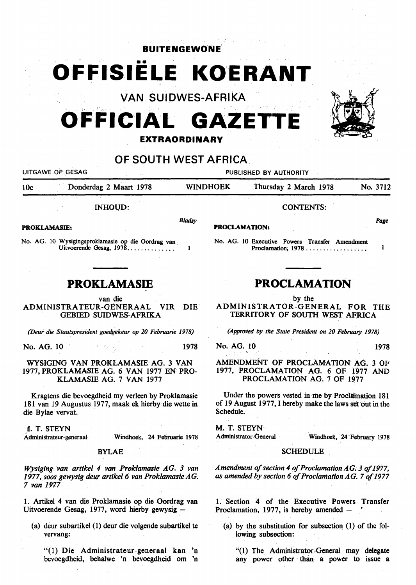### **BUITENGEWONE .**

**OFFISIELE KOERANT** 

VAN SUIDWES-AFRIKA

# **OFFICIAL GAZET EXTRAORDINARY**

## OF SOUTH WEST AFRICA

UITGAWE OP GESAG PUBLISHED BY AUTHORITY

lOc Donderdag 2 Maart 1978 WINDHOEK Thursday 2 March 1978 No. 3712

INHOUD:

PROKLAMASIE:

No. AG. 10 Wysigingsproklamasie op die Oordrag van. Uitvoerende Gesag,  $1978$ ...............

### **PROKLAMASIE**

van die

ADMINISTRA TEUR-GENERAAL VIR DIE. GEBIED SUIDWES~AFRIKA

*(Deur die Staatspresident goedgekeur op 20 Februarie 1978)* 

No. AG. 10 1978

WYSIGING VAN PROKLAMASIE AG. 3 VAN 1977, PROKLAMASIE AG. 6 VAN 1977 EN PRO-KLAMASIE AG. 7 VAN 1977

Kragtens die bevoegdheid my verleen by Proklamasie 181 van 19 Augustus 1977, maak ek hierby die wette in die Bylae vervat.

### 1. T. STEYN

Administrateur-generaal Windhoek, 24 Februarie 1978

### BYLAE

*Wysiging van artikel 4 van Proldamasie AG. 3 van 1977, soos gewysig deur artike/6 van Proklamasie AG.*  7 *van 1977* 

1. Artikel 4 van die Proklamasie op die Oordrag van Uitvoerende Gesag, 1977, word hierby gewysig -

(a) deur subartikel (1) deur die volgende subartikel te vervang:

"(1) Die Administrateur-generaal kan 'n bevoegdheid, behalwe 'n bevoegdheid om 'n

CONTENTS:

### PROCLAMATION:

No. AG. 10 Executive Powers Transfer Amendment Proclamation, 1978 . . . . . . . . . . . . . . . . .

# **PROCLAMATION**

by the ADMINISTRATOR-GENERAL FOR THE TERRITORY OF SOUTH WEST AFRICA

*(Approved by the State President on 20 February 1978)* 

No. AG. 10 1978

AMENDMENT OF PROCLAMATION AG. 3 OF 1977, PROCLAMATION AG. 6 OF 1977 AND PROCLAMATION AG. 7 OF 1977

Under the powers vested in me by Proclamation 181 of 19 August 1977, I hereby make the laws set out in the Schedule.

M. T. STEYN

Administrator-General Windhoek, 24 February 1978

### SCHEDULE

Amendment of section 4 of Proclamation AG: 3 of 1977, *as amended by section 6 of Proclamation AG.* 7 *of 1977* 

1. Section 4 of the Executive Powers Transfer Proclamation, 1977, is hereby amended  $-$ 

(a) by the substitution for subsection (1) of the following subsection:

"(1) The Administrator~General may delegate any power other than a power to issue a



*Page* 

 $\mathbf{1}$ 

*Bladsy*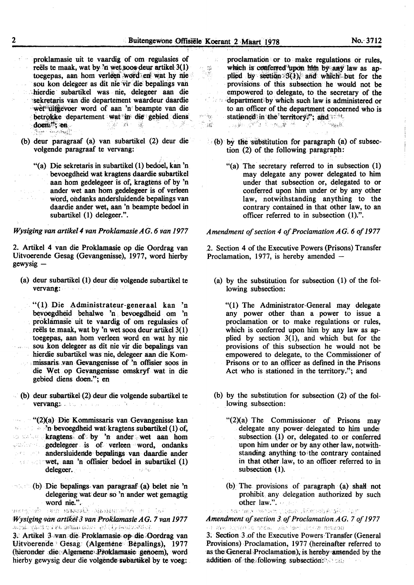i<br>馬蜜

 $\label{eq:1} \hat{X}^{I_{\rm{BS}}\rightarrow\frac{1}{2}}\hat{\hat{f}}_{\rm{BS}}^{\rm{S}}.$  $\label{eq:4} \begin{array}{c} \mathcal{L}_{\text{max}} = \mathcal{L}_{\text{max}} \\ \mathcal{L}_{\text{max}} = \mathcal{L}_{\text{max}} \end{array}$ 

-52

proklamasie uit te vaardig of om regulasies of reëls te maak, wat by 'n wet soos deur artikel 3(1) toegepas, aan hom verleen word en wat hy nie sou kon delegeer as dit nie vir die bepalings van -hierdie subartikel was nie, delegeer aan die sekretaris van die departement waardeur daardie wet ditte voer word of aan 'n beampte van die betrokke departement wat in die gebied diens doen en die versies van die versies die versies van die versies van die versies van die versies van die versies van die versies van die versies van die versies van die versies v ~ <sub>10</sub>2 • George Tittle of Section ''~··.7~ ,...\_. ; f *u* • ; ~ ~i':'!i).-~ ~:

- (b) deur paragraaf (a) van subartikel (2) deur die volgende paragraaf te vervang:
- "(a) Die sekretaris in subartikel (1) bedoel, kan 'n bevoegdheid wat kragtens daardie subartikel aan hom gedelegeer is of, kragtens of by 'n ander wet aan hom gedelegeer is of verleen  $\mathcal{A}^{\text{in}}_{\text{GUT}}$  ,  $\mathcal{A}^{\text{in}}$  , word, ondanks andersluidende bepalings van daardie ander wet, aan 'n beampte bedoel in subartikel (1) delegeer.".

#### *Wysiging van artike/4 van Proklamasie A G. 6 van 1977*

2. Artikel 4 van die Proklamasie op die Oordrag van Uitvoerende Gesag (Gevangenisse), 1977, word hierby gewysig-

- (a) deur subartikel (1) deur die volgende subartikel te vervang:
- "(1) Die Administrateur-generaal kan 'n bevoegdheid behalwe 'n bevoegdheid om 'n proklamasie uit te vaardig of om regulasies of reëls te maak, wat by 'n wet soos deur artikel  $3(1)$ toegepas, aan hom verleen word en wat by nie sou .kon delegeer as dit nie vir die bepalings van hierdie subartikel was nie, delegeer aan die Kommissaris van Gevangenisse of 'n offisier soos in die Wet op Gevangenisse omskryf wat in die gebied diens doen."; en
- $\cdot$  (b) deur subartikel (2) deur die volgende subartikel te vervang: a state of a state of the state

"(2)(a) Die Kommissaris van Gevangenisse kan *Allension* bevoegdheid wat kragtens subartikel (1) of, -- · , ktagtens' of:by 'n ander , wet aan hom gedelegeer is of verleen word, ondanks  $\Box$  andersluidende bepalings van daardie ander  $\therefore$  wet, aan 'n offisier bedoel in subartikel (1) delegeer.

(b) Die bepalings· van paragraaF (a) belet nie 'n delegering wat deur so 'n ander wet gemagtig word nie.".<br>En Antonio and Spanish Standard and Coll

*'Wysiging·van artilf&3 vanProklamasie AG.* 7 *van 1977* 

3. Artikel 3 van die Proklamasie op die Oordrag van Uitvoerende Gesag (Algemene Bepalings), 1977 (hieronder die Algemene Proklamasie genoem), word hierby gewysig deur die volgende subartikel by te voeg:

proclamatidn or to . make regulations or rules, which is conferred upon him by any law as applied by section  $3(1)$  and which but for the provisions. of this subsection ·he would not be empowered· to delegate, to the secretary of the *Complement* by which such law is administered or to an officer of the department concerned who is stationed in the territory."; and  $\sim$ الأول الأ<del>بلار الأول الأول الأول</del> الأول  $\sim$ 

- $\bullet$  (b) by the substitution for paragraph (a) of subsection (2) of the following paragraph:
	- "(a) The secretary referred to in subsection (1) may delegate any power delegated to him under that subsection or, delegated to or conferred upon him under or by any other law, notwithstanding anything to the contrary contained in that other law, to an officer referred to in subsection (1).".

### *Amendment of section 4 of Proclamation AG. 6 of 1977*

.2. Section 4 of the Executive Powers (Prisons) Transfer Proclamation, 1977, is hereby amended -

(a) by the substitution for subsection (1) of the following subsection:

"(1) The Administrator-General may delegate any power other than a power to issue a proclamation or to make regulations or rules, which is conferred upon him by any law as applied by section 3(1), and which but for the provisions of this subsection he would not be empowered to delegate, to the Commissioner of Prisons or to an. officer as defmed in the Prisons Act who is stationed in the territory."; and

- (b) by the substitution for subsection (2) of the following subsection:
	- "(2)(a) The Commissioner of Prisons may delegate any power delegated to him undet subsection  $(1)$  or, delegated to or conferred upon him under or by any other law, notwithstanding anything• to-the contrary contained in that other law, to an officer referred to in subsection (1).
- (b) The provisions of paragraph (a) shall not prohibit any delegation authorized by such **other law.".** · · per le formation in the lay

*Amendment of section 3. of Proclamation.AG. 7 of 1977*<br>All Recognizes on the late of a section of the section of the section of the section of the section of the section

3: Section 3 .of the-Executive Powers:Transfer (General Provisions) Proclamation, 1977 (hereinafter referred to as the General Proclamation), is hereby amended by the addition. of the following subsection:  $\cdot$ .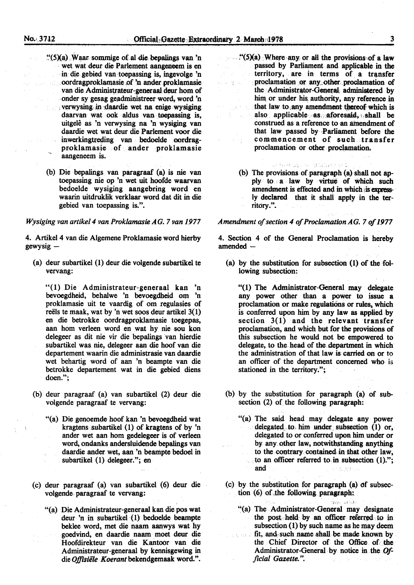- $\cdot$ "(5)(a) Waar sommige of al die bepalings van 'n wet wat deur die Parlement aangeneem is en in die gebied van toepassing is, ingevolge 'n oordragproklamasie of 'n ander proklamasie van die Administrateur-generaal deur hom of ·onder sy gesag geadministreer word, word 'n  $v_{\rm}$  verwy sing. in daardie wet na enige wysiging daarvan wat ook aldus van toepassing is, uitgelê as 'n verwysing na 'n wysiging van daardie wet wat deur die Parlement voor die inwerkingtreding van bedoelde oordragproklamasie of ander proklamasie aangeneem is.
- (b) Die bepalings van paragraaf (a) is nie van toepassing nie op 'n wet uit hoofde waarvan bedoelde wysiging aangebring word en waarin uitdruklik verklaar word dat dit in die gebied van toepassing is.".

### *Wysiging van artike/4 van Proklamasie AG. 7 van 1977*

4. Artikel 4 van die Algemene Proklamasie word hierby  $g$ ewysig  $-$ 

(a) deur subartikel (1) deur die volgende subartikel te vervang:

"(1) Die Administrateur-generaal kan 'n bevoegdheid, behalwe 'n bevoegdheid om 'n proklamasie uit te vaardig of om regulasies of reëls te maak, wat by 'n wet soos deur artikel  $3(1)$ en die betrokke oordragproklamasie toegepas, aan hom verleen word en wat hy nie sou kon delegeer as dit nie vir die bepalings van hierdie subartikel was nie, delegeer aan die hoof van die departement waarin die administrasie van daardie wet behartig word of aan 'n beampte van die betrokke departement wat in die gebied diens doen.";

- (b) deur paragraaf (a) van subartikel (2) deur die volgende paragraaf te vervang:
	- "(a) Die genoemde hoof kan 'n bevoegdheid wat kragtens subartikel  $(1)$  of kragtens of by 'n ander wet aan hom gedelegeer is of verleen word, ondanks andersluidende bepalings van daardie ander wet, aan 'n beampte bedoel in subartikel (1) delegeer."; en
- (c) deur paragraaf (a) van subartikel (6) deur die volgende paragraaf te vervang:
	- "(a) Die Administrateur-generaal kan die pos wat deur 'n in subartikel (1) bedoelde beampte beklee word, met die naam aanwys wat by . goedvind, en daardie naam moet deur die Hoofdirekteur van die Kantoor van die Administrateur-generaal by kennisgewing in die *Offisiele Koerant* bekendgemaak word.".
- $\cdot$  (5)(a) Where any or all the provisions of a law passed by Parliament and applicable in the territory, are in terms of a transfer proclamation or any other proclamation of  $\{y_{i}\}_{i=1}^{n}$  . the •Administrator-General administered by him, or under his. authority, any reference in that law to any amendment thereof which is also applicable as aforesaid, shall be  $\mathcal{L}_{\rm{eff}}$  at construed as a reference to an amendment of that law passed by ·Parliament before the commencement of such transfer proclamation or other proclamation.
	- いちいちじょしゃ せいぶけいしつ (b) The provisions of paragraph (a) shall not ap-
	- ply to a law by virtue of which such amendment is effected and in which is expressly declared that it shall apply in the territory.".

### *Amendment of section 4 of Proclamation AG. 7 of 1977*

4. Section 4 of the General Proclamation is hereby  $amended-$ 

(a) by the substitution for subsection (1) of the following subsection:

"(1) The Administrator-General may delegate any power other than a power to issue a proclamation or make regulations or rules, which is conferred upon him by any law as applied by section 3(1) and the relevant transfer proclamation, and which but for the provisions of this subsection he would not be empowered to delegate, to the. head of the department in which the administration of that law is carried on or to an officer of the department concerned who is stationed in the territory.";

- (b) by the substitution for paragraph  $(a)$  of subsection (2) of the following paragraph:
	- "(a) The said head may delegate any power  $\alpha$  delegated to him under subsection (1) or, delegated to or conferred upon him under or by any other law, notwithstanding anything to the contrary contained in that other law, to an officer referred to in subsection  $(1)$ ."; and 5.5的政策小司
- (c) by the substitution for paragraph (a) of subsection (6) of the following paragraph:
	- "(a) The Administrator-General may designate the post held by an officer referred to in subsection (1) by such name as he may deem fit, and such name shall be made known by the Chief Director of the Office of. the Administrator-General by notice in the *Official Gazette.".*  $\sim 2.1$ فهادي المتحاد  $\sigma_{\rm c}$  and  $\sigma_{\rm c}$

.<br>دلال در در رو<del>ان</del>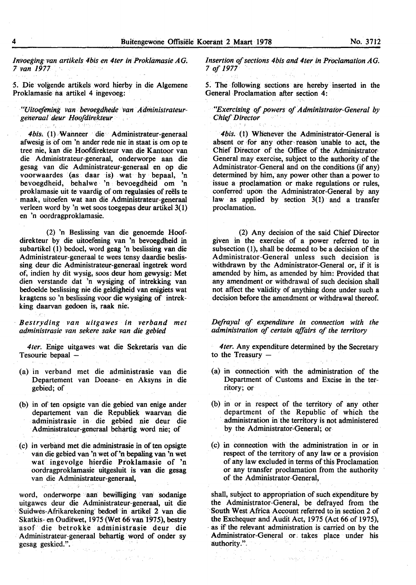*Invoegingvan artikels 4bis en 4ter in Proklamasie AG.*  7 *van 1977* ·

5. Die volgende artikels word hierby in die Algemene Proklamasie na attikel 4 ingevoeg:

"Uitoefening van bevoegdhede van Administrateur*gelferaal deur Hoofdirekteur* 

*4bis.* ( l) Wanneer die Administrateur-generaal afwesig is of om 'n ander rede nie in staat is om op te tree nie, kan die Hoofdirekteur van die Kantoor van die Administrateur-generaal, onderworpe aan die gesag van die Administrateur-generaal en op die voorwaardes (as daar is) wat hy bepaal, 'n bevoegdheid, behalwe 'n bevoegdheid om 'n proklamasie uit te vaardig of om regulasies of reëls te maak, uitoefen wat aan die Administrateur-generaal verleen word by 'n wet soos toegepas deur artikel  $3(1)$ en 'n oordragproklamasie.

(2) 'n Beslissing van die genoemde Hoofdirekteur by die uitoefening van 'n bevoegdheid in subartikel (I) bedoel, word geag 'n beslissing van die Administrateur-generaal te wees tensy daardie beslissing deur die Administrateur-generaal ingetrek word of, indien by dit wysig, soos deur hom gewysig: Met dien verstande dat 'n wysiging of intrekking van bedoelde beslissing nie die geldigheid van enigiets wat kragtens so 'n beslissing voor die wysiging of intrekking daarvan gedoen is, raak nie:

· *Bestryding van uitgawes in verband met administrasie van sekere sake ·van die gebied* 

*4ter.* Enige uitgawes wat die Sekretaris van die Tesourie bepaal  $-$ 

- (a) in verband met die administrasie van die Departement van Doeane- en Aksyns in die gebied; of
- (b) in of ten opsigte van die gebied van enige ander departement van die Republiek waarvan die administrasie in die gebied nie deur die Administrateur-generaal behartig word nie; of
- (c) in verband met die administrasie in often opsigte van die gebied van 'n wet of'n bepaling van 'n wet wat ingevolge hierdie Proklamasie of 'n oordragproklamasie uitgesluit is van die gesag van die Administrateur-generaal,

 $-3.7^{+0.4}$ 

19.

word, onderworpe aan bewilliging van sodanige uitgawes deur die Administrateur-generaal, uit die Suidwes-Afrikarekening' bedoet in artikel 2 van die Skatkis- en Ouditwet, 197S(Wet 66 van 1975), bestry asof die betrokke administrasie deur die Administrateur-generaal behartig word of onder sy gesag geskied.".  $(\mathcal{Z},\mathcal{F})_{\mathcal{A},\mathcal{F}}\in\mathbb{R}^{d\times d}$ ولردد

 $\label{eq:2.1} \mathcal{P}_{\mathcal{M}}(\mathbf{x}) = \mathbf{g}(\mathbf{x}^{\mathcal{M}})^{-1} \mathcal{P}(\mathbf{x}^{\mathcal{M}})$ 

*Insertion of sections 4bis and 4ter in Proclamation A G.*  7 *of 1977* · ·

*5.* The following sections are hereby inserted in the General Proclamation after section 4:

*"Exercising of powers of Administrator-General by Chief Director* 

*4bis.* (1) WHenever the Administrator-General is absent or for any other reason unable to act, the Chief Director of the Office of the Administrator· General may exercise, subject to the authority of the Administrator-General and on the conditions (if any) determined by him, any power other than a power to issue a ptoclamation or make regulations or rules, conferred upon the Administrator-General by any law as applied by section  $3(1)$  and a transfer proclamation.

(2) Any decision of the said Chief Director given in the exercise of a power referred to in subsection (1), shall be deemed to be a decision of the Administrator-General unless such decision is withdrawn by the Administrator-General or, if it is amended by him, as amended by him: Provided that any amendment or withdrawal of such decision shall not affect the validity of anything done under such a decision before the amendment or withdrawal thereof.

*Defrayal of expenditure in connection with the administration of certain affairs of the territory* 

*4ter.* Any expenditure determined by the Secretary to the Treasury  $-$ 

- (a) in connection with the administration of the Department of Customs and Excise in the territory; or
- (b) in or in respect of the territory of any other department of the Republic of which the administration in the territory is not administered by the Administrator-General; or-
- (c) in connection with the administration in or in respect of the territory of any law or a provision of any law excluded in terms of this Proclamation or any transfer proclamation from the authority of the Administrator-General,

shall, subject to appropriation of such expenditure by the Administrator-General, be defrayed from the South West Africa Account referred to in section 2 of the Exchequer and Audit Act, 1975 (Act 66 of 1975), as if the relevant administration is carried on by the Administrator-General or takes place under his authority.".

the contract of the computer of the top